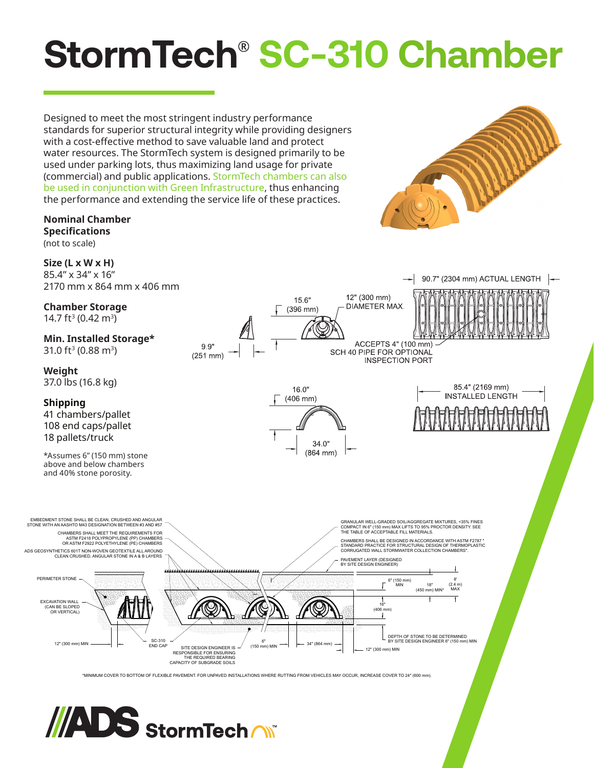# **StormTech**® **SC-310 Chamber**

Designed to meet the most stringent industry performance standards for superior structural integrity while providing designers with a cost-effective method to save valuable land and protect water resources. The StormTech system is designed primarily to be used under parking lots, thus maximizing land usage for private (commercial) and public applications. StormTech chambers can also be used in conjunction with Green Infrastructure, thus enhancing the performance and extending the service life of these practices.

#### **Nominal Chamber Specifications** (not to scale)

**Size (L x W x H)** 85.4" x 34" x 16" 2170 mm x 864 mm x 406 mm

**Chamber Storage** 14.7 ft<sup>3</sup> (0.42 m<sup>3</sup>)

**Min. Installed Storage\*** 31.0 ft<sup>3</sup> (0.88 m<sup>3</sup>)

**Weight** 37.0 lbs (16.8 kg)

**Shipping** 41 chambers/pallet 108 end caps/pallet 18 pallets/truck

\*Assumes 6" (150 mm) stone above and below chambers and 40% stone porosity.

ADS GEOSYNTHETICS 601T NON-WOVEN GEOTEXTILE ALL AROUND CLEAN CRUSHED, ANGULAR STONE IN A & B LAYERS

EMBEDMENT STONE SHALL BE CLEAN, CRUSHED AND ANGULAR STONE WITH AN AASHTO M43 DESIGNATION BETWEEN #3 AND #57

CHAMBERS SHALL MEET THE REQUIREMENTS FOR ASTM F2418 POLYPROPYLENE (PP) CHAMBERS OR ASTM F2922 POLYETHYLENE (PE) CHAMBERS

12" (300 mm) MIN

PERIMETER STONE

EXCAVATION WALL (CAN BE SLOPED OR VERTICAL)



12" (300 mm) MIN

DEPTH OF STONE TO BE DETERMINED BY SITE DESIGN ENGINEER 6" (150 mm) MIN

\*MINIMUM COVER TO BOTTOM OF FLEXIBLE PAVEMENT. FOR UNPAVED INSTALLATIONS WHERE RUTTING FROM VEHICLES MAY OCCUR, INCREASE COVER TO 24" (600 mm).

 $(150 \text{ mm})$  MIN  $\longrightarrow$   $\leftarrow$  34" (864 mm)



SC-310<br>END CAR

END CAP SITE DESIGN ENGINEER IS<br>RESPONSIBLE FOR ENSURING<br>THE REQUIRED BEARING<br>CAPACITY OF SUBGRADE SOILS